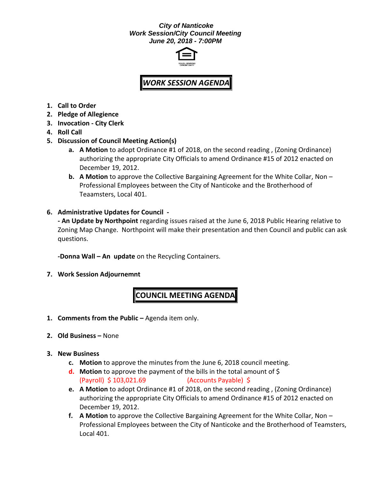#### *City of Nanticoke Work Session/City Council Meeting June 20, 2018 - 7:00PM*



# *WORK SESSION AGENDA*

- **1. Call to Order**
- **2. Pledge of Allegience**
- **3. Invocation - City Clerk**
- **4. Roll Call**
- **5. Discussion of Council Meeting Action(s)**
	- **a. A Motion** to adopt Ordinance #1 of 2018, on the second reading , (Zoning Ordinance) authorizing the appropriate City Officials to amend Ordinance #15 of 2012 enacted on December 19, 2012.
	- **b. A Motion** to approve the Collective Bargaining Agreement for the White Collar, Non Professional Employees between the City of Nanticoke and the Brotherhood of Teaamsters, Local 401.

## **6. Administrative Updates for Council -**

**- An Update by Northpoint** regarding issues raised at the June 6, 2018 Public Hearing relative to Zoning Map Change. Northpoint will make their presentation and then Council and public can ask questions.

**-Donna Wall – An update** on the Recycling Containers.

**7. Work Session Adjournemnt**

# **COUNCIL MEETING AGENDA**

- **1. Comments from the Public –** Agenda item only.
- **2. Old Business –** None
- **3. New Business**
	- **c. Motion** to approve the minutes from the June 6, 2018 council meeting.
	- **d. Motion** to approve the payment of the bills in the total amount of \$ (Payroll) \$ 103,021.69 (Accounts Payable) \$
	- **e. A Motion** to adopt Ordinance #1 of 2018, on the second reading , (Zoning Ordinance) authorizing the appropriate City Officials to amend Ordinance #15 of 2012 enacted on December 19, 2012.
	- **f. A Motion** to approve the Collective Bargaining Agreement for the White Collar, Non Professional Employees between the City of Nanticoke and the Brotherhood of Teamsters, Local 401.